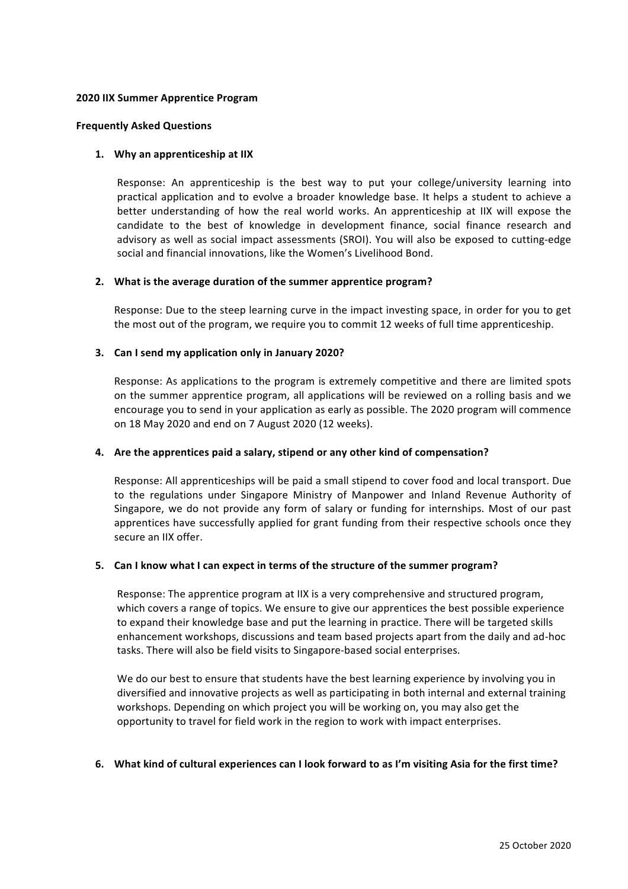### **2020 IIX Summer Apprentice Program**

#### **Frequently Asked Questions**

### 1. Why an apprenticeship at IIX

Response: An apprenticeship is the best way to put your college/university learning into practical application and to evolve a broader knowledge base. It helps a student to achieve a better understanding of how the real world works. An apprenticeship at IIX will expose the candidate to the best of knowledge in development finance, social finance research and advisory as well as social impact assessments (SROI). You will also be exposed to cutting-edge social and financial innovations, like the Women's Livelihood Bond.

### 2. What is the average duration of the summer apprentice program?

Response: Due to the steep learning curve in the impact investing space, in order for you to get the most out of the program, we require you to commit 12 weeks of full time apprenticeship.

### **3.** Can I send my application only in January 2020?

Response: As applications to the program is extremely competitive and there are limited spots on the summer apprentice program, all applications will be reviewed on a rolling basis and we encourage you to send in your application as early as possible. The 2020 program will commence on 18 May 2020 and end on 7 August 2020 (12 weeks).

# **4.** Are the apprentices paid a salary, stipend or any other kind of compensation?

Response: All apprenticeships will be paid a small stipend to cover food and local transport. Due to the regulations under Singapore Ministry of Manpower and Inland Revenue Authority of Singapore, we do not provide any form of salary or funding for internships. Most of our past apprentices have successfully applied for grant funding from their respective schools once they secure an IIX offer.

# **5.** Can I know what I can expect in terms of the structure of the summer program?

Response: The apprentice program at IIX is a very comprehensive and structured program, which covers a range of topics. We ensure to give our apprentices the best possible experience to expand their knowledge base and put the learning in practice. There will be targeted skills enhancement workshops, discussions and team based projects apart from the daily and ad-hoc tasks. There will also be field visits to Singapore-based social enterprises.

We do our best to ensure that students have the best learning experience by involving you in diversified and innovative projects as well as participating in both internal and external training workshops. Depending on which project you will be working on, you may also get the opportunity to travel for field work in the region to work with impact enterprises.

#### **6. What kind of cultural experiences can I look forward to as I'm visiting Asia for the first time?**